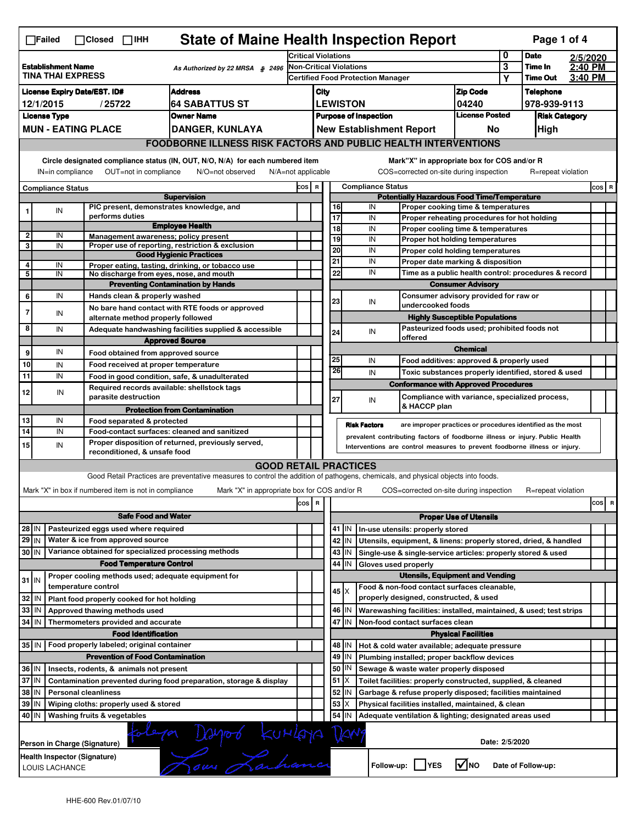| <b>State of Maine Health Inspection Report</b><br>Page 1 of 4<br>∏Failed<br>$\Box$ Closed $\Box$ IHH                                                                                                                                                                                  |                                                                                                                       |  |                                                                     |                                                                                                                                   |                                                                                                      |                                                                                                                                                            |                                   |                                                                                    |                                                                    |                                       |                                      |                    |          |       |   |
|---------------------------------------------------------------------------------------------------------------------------------------------------------------------------------------------------------------------------------------------------------------------------------------|-----------------------------------------------------------------------------------------------------------------------|--|---------------------------------------------------------------------|-----------------------------------------------------------------------------------------------------------------------------------|------------------------------------------------------------------------------------------------------|------------------------------------------------------------------------------------------------------------------------------------------------------------|-----------------------------------|------------------------------------------------------------------------------------|--------------------------------------------------------------------|---------------------------------------|--------------------------------------|--------------------|----------|-------|---|
| <b>Critical Violations</b>                                                                                                                                                                                                                                                            |                                                                                                                       |  |                                                                     |                                                                                                                                   |                                                                                                      |                                                                                                                                                            |                                   |                                                                                    |                                                                    |                                       |                                      | <b>Date</b>        | 2/5/2020 |       |   |
| <b>Establishment Name</b><br>As Authorized by 22 MRSA § 2496<br><b>TINA THAI EXPRESS</b>                                                                                                                                                                                              |                                                                                                                       |  |                                                                     |                                                                                                                                   | Non-Critical Violations                                                                              |                                                                                                                                                            |                                   |                                                                                    |                                                                    | 3                                     | Time In<br><b>Time Out</b>           | 2:40 PM<br>3:40 PM |          |       |   |
|                                                                                                                                                                                                                                                                                       |                                                                                                                       |  |                                                                     |                                                                                                                                   |                                                                                                      |                                                                                                                                                            | Certified Food Protection Manager |                                                                                    |                                                                    |                                       | Υ                                    |                    |          |       |   |
| <b>Address</b><br><b>License Expiry Date/EST. ID#</b><br><b>64 SABATTUS ST</b><br>/25722                                                                                                                                                                                              |                                                                                                                       |  |                                                                     |                                                                                                                                   |                                                                                                      | City                                                                                                                                                       |                                   |                                                                                    |                                                                    | <b>Zip Code</b>                       |                                      | <b>Telephone</b>   |          |       |   |
| 12/1/2015<br><b>Owner Name</b>                                                                                                                                                                                                                                                        |                                                                                                                       |  |                                                                     |                                                                                                                                   |                                                                                                      | <b>LEWISTON</b><br>04240<br><b>License Posted</b>                                                                                                          |                                   |                                                                                    |                                                                    |                                       | 978-939-9113<br><b>Risk Category</b> |                    |          |       |   |
| <b>License Type</b>                                                                                                                                                                                                                                                                   |                                                                                                                       |  |                                                                     |                                                                                                                                   |                                                                                                      | <b>Purpose of Inspection</b><br><b>New Establishment Report</b><br>No                                                                                      |                                   |                                                                                    |                                                                    |                                       |                                      | High               |          |       |   |
|                                                                                                                                                                                                                                                                                       | <b>MUN - EATING PLACE</b><br>DANGER, KUNLAYA<br><b>FOODBORNE ILLNESS RISK FACTORS AND PUBLIC HEALTH INTERVENTIONS</b> |  |                                                                     |                                                                                                                                   |                                                                                                      |                                                                                                                                                            |                                   |                                                                                    |                                                                    |                                       |                                      |                    |          |       |   |
|                                                                                                                                                                                                                                                                                       |                                                                                                                       |  |                                                                     |                                                                                                                                   |                                                                                                      |                                                                                                                                                            |                                   |                                                                                    |                                                                    |                                       |                                      |                    |          |       |   |
| Circle designated compliance status (IN, OUT, N/O, N/A) for each numbered item<br>Mark"X" in appropriate box for COS and/or R<br>OUT=not in compliance<br>COS=corrected on-site during inspection<br>IN=in compliance<br>N/O=not observed<br>N/A=not applicable<br>R=repeat violation |                                                                                                                       |  |                                                                     |                                                                                                                                   |                                                                                                      |                                                                                                                                                            |                                   |                                                                                    |                                                                    |                                       |                                      |                    |          |       |   |
|                                                                                                                                                                                                                                                                                       | <b>Compliance Status</b>                                                                                              |  |                                                                     |                                                                                                                                   |                                                                                                      |                                                                                                                                                            | <b>Compliance Status</b><br>COS R |                                                                                    |                                                                    |                                       |                                      |                    |          | COS R |   |
|                                                                                                                                                                                                                                                                                       |                                                                                                                       |  |                                                                     | <b>Supervision</b>                                                                                                                | <b>Potentially Hazardous Food Time/Temperature</b><br>16<br>IN<br>Proper cooking time & temperatures |                                                                                                                                                            |                                   |                                                                                    |                                                                    |                                       |                                      |                    |          |       |   |
| 1                                                                                                                                                                                                                                                                                     | IN                                                                                                                    |  | PIC present, demonstrates knowledge, and<br>performs duties         |                                                                                                                                   |                                                                                                      |                                                                                                                                                            | 17                                |                                                                                    | IN<br>Proper reheating procedures for hot holding                  |                                       |                                      |                    |          |       |   |
|                                                                                                                                                                                                                                                                                       |                                                                                                                       |  |                                                                     | <b>Employee Health</b>                                                                                                            |                                                                                                      |                                                                                                                                                            | 18                                |                                                                                    | IN<br>Proper cooling time & temperatures                           |                                       |                                      |                    |          |       |   |
| $\overline{2}$                                                                                                                                                                                                                                                                        | IN                                                                                                                    |  | Management awareness: policy present                                |                                                                                                                                   |                                                                                                      |                                                                                                                                                            | 19                                |                                                                                    | IN<br>Proper hot holding temperatures                              |                                       |                                      |                    |          |       |   |
| 3                                                                                                                                                                                                                                                                                     | IN                                                                                                                    |  |                                                                     | Proper use of reporting, restriction & exclusion<br><b>Good Hygienic Practices</b>                                                |                                                                                                      |                                                                                                                                                            | 20                                |                                                                                    | IN<br>Proper cold holding temperatures                             |                                       |                                      |                    |          |       |   |
| 4                                                                                                                                                                                                                                                                                     | IN                                                                                                                    |  |                                                                     | Proper eating, tasting, drinking, or tobacco use                                                                                  |                                                                                                      |                                                                                                                                                            | 21                                |                                                                                    | IN<br>Proper date marking & disposition                            |                                       |                                      |                    |          |       |   |
| 5                                                                                                                                                                                                                                                                                     | IN                                                                                                                    |  | No discharge from eyes, nose, and mouth                             |                                                                                                                                   |                                                                                                      |                                                                                                                                                            | 22                                |                                                                                    | IN<br>Time as a public health control: procedures & record         |                                       |                                      |                    |          |       |   |
|                                                                                                                                                                                                                                                                                       |                                                                                                                       |  |                                                                     | <b>Preventing Contamination by Hands</b>                                                                                          |                                                                                                      |                                                                                                                                                            |                                   |                                                                                    |                                                                    | <b>Consumer Advisory</b>              |                                      |                    |          |       |   |
| 6                                                                                                                                                                                                                                                                                     | IN                                                                                                                    |  | Hands clean & properly washed                                       |                                                                                                                                   |                                                                                                      |                                                                                                                                                            | 23                                |                                                                                    | Consumer advisory provided for raw or<br>IN                        |                                       |                                      |                    |          |       |   |
| $\overline{7}$                                                                                                                                                                                                                                                                        | IN                                                                                                                    |  |                                                                     | No bare hand contact with RTE foods or approved                                                                                   |                                                                                                      |                                                                                                                                                            |                                   |                                                                                    | undercooked foods                                                  |                                       |                                      |                    |          |       |   |
|                                                                                                                                                                                                                                                                                       |                                                                                                                       |  | alternate method properly followed                                  |                                                                                                                                   |                                                                                                      |                                                                                                                                                            |                                   |                                                                                    |                                                                    | <b>Highly Susceptible Populations</b> |                                      |                    |          |       |   |
| 8                                                                                                                                                                                                                                                                                     | IN                                                                                                                    |  |                                                                     | Adequate handwashing facilities supplied & accessible                                                                             |                                                                                                      |                                                                                                                                                            | 24                                |                                                                                    | Pasteurized foods used; prohibited foods not<br>IN<br>offered      |                                       |                                      |                    |          |       |   |
|                                                                                                                                                                                                                                                                                       |                                                                                                                       |  |                                                                     | <b>Approved Source</b>                                                                                                            |                                                                                                      |                                                                                                                                                            |                                   |                                                                                    |                                                                    | <b>Chemical</b>                       |                                      |                    |          |       |   |
| 9                                                                                                                                                                                                                                                                                     | IN                                                                                                                    |  | Food obtained from approved source                                  |                                                                                                                                   |                                                                                                      |                                                                                                                                                            | 25                                |                                                                                    | IN<br>Food additives: approved & properly used                     |                                       |                                      |                    |          |       |   |
| 10                                                                                                                                                                                                                                                                                    | IN                                                                                                                    |  | Food received at proper temperature                                 |                                                                                                                                   |                                                                                                      |                                                                                                                                                            | 26                                |                                                                                    | IN<br>Toxic substances properly identified, stored & used          |                                       |                                      |                    |          |       |   |
| 11                                                                                                                                                                                                                                                                                    | IN                                                                                                                    |  |                                                                     | Food in good condition, safe, & unadulterated                                                                                     |                                                                                                      |                                                                                                                                                            |                                   |                                                                                    | <b>Conformance with Approved Procedures</b>                        |                                       |                                      |                    |          |       |   |
| 12                                                                                                                                                                                                                                                                                    | IN                                                                                                                    |  | Required records available: shellstock tags<br>parasite destruction |                                                                                                                                   |                                                                                                      |                                                                                                                                                            |                                   |                                                                                    | Compliance with variance, specialized process,                     |                                       |                                      |                    |          |       |   |
|                                                                                                                                                                                                                                                                                       |                                                                                                                       |  |                                                                     | <b>Protection from Contamination</b>                                                                                              |                                                                                                      |                                                                                                                                                            | 27                                |                                                                                    | IN<br>& HACCP plan                                                 |                                       |                                      |                    |          |       |   |
| 13                                                                                                                                                                                                                                                                                    | IN                                                                                                                    |  | Food separated & protected                                          |                                                                                                                                   |                                                                                                      |                                                                                                                                                            |                                   |                                                                                    |                                                                    |                                       |                                      |                    |          |       |   |
| 14                                                                                                                                                                                                                                                                                    | IN                                                                                                                    |  |                                                                     | Food-contact surfaces: cleaned and sanitized                                                                                      |                                                                                                      |                                                                                                                                                            |                                   | <b>Risk Factors</b><br>are improper practices or procedures identified as the most |                                                                    |                                       |                                      |                    |          |       |   |
| 15                                                                                                                                                                                                                                                                                    | IN                                                                                                                    |  |                                                                     | Proper disposition of returned, previously served,                                                                                |                                                                                                      | prevalent contributing factors of foodborne illness or injury. Public Health<br>Interventions are control measures to prevent foodborne illness or injury. |                                   |                                                                                    |                                                                    |                                       |                                      |                    |          |       |   |
|                                                                                                                                                                                                                                                                                       |                                                                                                                       |  | reconditioned, & unsafe food                                        |                                                                                                                                   |                                                                                                      |                                                                                                                                                            |                                   |                                                                                    |                                                                    |                                       |                                      |                    |          |       |   |
|                                                                                                                                                                                                                                                                                       |                                                                                                                       |  |                                                                     | <b>GOOD RETAIL PRACTICES</b>                                                                                                      |                                                                                                      |                                                                                                                                                            |                                   |                                                                                    |                                                                    |                                       |                                      |                    |          |       |   |
|                                                                                                                                                                                                                                                                                       |                                                                                                                       |  |                                                                     | Good Retail Practices are preventative measures to control the addition of pathogens, chemicals, and physical objects into foods. |                                                                                                      |                                                                                                                                                            |                                   |                                                                                    |                                                                    |                                       |                                      |                    |          |       |   |
|                                                                                                                                                                                                                                                                                       |                                                                                                                       |  | Mark "X" in box if numbered item is not in compliance               | Mark "X" in appropriate box for COS and/or R                                                                                      |                                                                                                      |                                                                                                                                                            |                                   |                                                                                    | COS=corrected on-site during inspection                            |                                       |                                      | R=repeat violation |          |       |   |
|                                                                                                                                                                                                                                                                                       |                                                                                                                       |  |                                                                     |                                                                                                                                   | cos                                                                                                  | $\overline{\mathbf{R}}$                                                                                                                                    |                                   |                                                                                    |                                                                    |                                       |                                      |                    |          | cos   | R |
|                                                                                                                                                                                                                                                                                       | <b>Safe Food and Water</b>                                                                                            |  |                                                                     |                                                                                                                                   |                                                                                                      |                                                                                                                                                            |                                   |                                                                                    |                                                                    | <b>Proper Use of Utensils</b>         |                                      |                    |          |       |   |
| Pasteurized eggs used where required<br>28 IN                                                                                                                                                                                                                                         |                                                                                                                       |  |                                                                     |                                                                                                                                   |                                                                                                      |                                                                                                                                                            |                                   | 41 J IN                                                                            | In-use utensils: properly stored                                   |                                       |                                      |                    |          |       |   |
| $29$ IN                                                                                                                                                                                                                                                                               |                                                                                                                       |  | Water & ice from approved source                                    |                                                                                                                                   |                                                                                                      |                                                                                                                                                            |                                   | 42 IN                                                                              | Utensils, equipment, & linens: properly stored, dried, & handled   |                                       |                                      |                    |          |       |   |
| 30 IN                                                                                                                                                                                                                                                                                 |                                                                                                                       |  | Variance obtained for specialized processing methods                |                                                                                                                                   |                                                                                                      |                                                                                                                                                            |                                   | 43   IN                                                                            | Single-use & single-service articles: properly stored & used       |                                       |                                      |                    |          |       |   |
|                                                                                                                                                                                                                                                                                       |                                                                                                                       |  | <b>Food Temperature Control</b>                                     |                                                                                                                                   |                                                                                                      |                                                                                                                                                            | 44                                | IN                                                                                 | Gloves used properly                                               |                                       |                                      |                    |          |       |   |
| $31$ IN                                                                                                                                                                                                                                                                               |                                                                                                                       |  | Proper cooling methods used; adequate equipment for                 |                                                                                                                                   |                                                                                                      |                                                                                                                                                            |                                   |                                                                                    | <b>Utensils, Equipment and Vending</b>                             |                                       |                                      |                    |          |       |   |
|                                                                                                                                                                                                                                                                                       |                                                                                                                       |  | temperature control                                                 |                                                                                                                                   |                                                                                                      |                                                                                                                                                            |                                   | $45 \times$                                                                        | Food & non-food contact surfaces cleanable,                        |                                       |                                      |                    |          |       |   |
| 32                                                                                                                                                                                                                                                                                    | IN                                                                                                                    |  | Plant food properly cooked for hot holding                          |                                                                                                                                   |                                                                                                      |                                                                                                                                                            |                                   |                                                                                    | properly designed, constructed, & used                             |                                       |                                      |                    |          |       |   |
| 33                                                                                                                                                                                                                                                                                    | IN                                                                                                                    |  | Approved thawing methods used                                       |                                                                                                                                   |                                                                                                      |                                                                                                                                                            |                                   | 46 IN                                                                              | Warewashing facilities: installed, maintained, & used; test strips |                                       |                                      |                    |          |       |   |
| 34                                                                                                                                                                                                                                                                                    | l IN                                                                                                                  |  | Thermometers provided and accurate                                  |                                                                                                                                   |                                                                                                      |                                                                                                                                                            | 47                                | IN                                                                                 | Non-food contact surfaces clean                                    |                                       |                                      |                    |          |       |   |
|                                                                                                                                                                                                                                                                                       |                                                                                                                       |  | <b>Food Identification</b>                                          |                                                                                                                                   |                                                                                                      |                                                                                                                                                            |                                   |                                                                                    |                                                                    | <b>Physical Facilities</b>            |                                      |                    |          |       |   |
|                                                                                                                                                                                                                                                                                       |                                                                                                                       |  | 35 IN   Food properly labeled; original container                   |                                                                                                                                   |                                                                                                      |                                                                                                                                                            | 48                                | ΙN                                                                                 | Hot & cold water available; adequate pressure                      |                                       |                                      |                    |          |       |   |
|                                                                                                                                                                                                                                                                                       |                                                                                                                       |  | <b>Prevention of Food Contamination</b>                             |                                                                                                                                   |                                                                                                      |                                                                                                                                                            | 49                                | IN                                                                                 | Plumbing installed; proper backflow devices                        |                                       |                                      |                    |          |       |   |
| 36 IN<br>Insects, rodents, & animals not present                                                                                                                                                                                                                                      |                                                                                                                       |  |                                                                     |                                                                                                                                   |                                                                                                      |                                                                                                                                                            | 50                                | IN                                                                                 | Sewage & waste water properly disposed                             |                                       |                                      |                    |          |       |   |
| 37 IN                                                                                                                                                                                                                                                                                 |                                                                                                                       |  |                                                                     | Contamination prevented during food preparation, storage & display                                                                |                                                                                                      | 51<br>Toilet facilities: properly constructed, supplied, & cleaned                                                                                         |                                   |                                                                                    |                                                                    |                                       |                                      |                    |          |       |   |
| 38                                                                                                                                                                                                                                                                                    | 52<br>IN<br><b>Personal cleanliness</b><br>Garbage & refuse properly disposed; facilities maintained<br>ΙN            |  |                                                                     |                                                                                                                                   |                                                                                                      |                                                                                                                                                            |                                   |                                                                                    |                                                                    |                                       |                                      |                    |          |       |   |
| 39                                                                                                                                                                                                                                                                                    | 53<br>IN<br>Wiping cloths: properly used & stored<br>х<br>Physical facilities installed, maintained, & clean          |  |                                                                     |                                                                                                                                   |                                                                                                      |                                                                                                                                                            |                                   |                                                                                    |                                                                    |                                       |                                      |                    |          |       |   |
| 40 IN                                                                                                                                                                                                                                                                                 |                                                                                                                       |  | Washing fruits & vegetables                                         |                                                                                                                                   |                                                                                                      |                                                                                                                                                            | 54                                | IN                                                                                 | Adequate ventilation & lighting; designated areas used             |                                       |                                      |                    |          |       |   |
| folega Dayob Kurloya<br>Date: 2/5/2020<br>Person in Charge (Signature)                                                                                                                                                                                                                |                                                                                                                       |  |                                                                     |                                                                                                                                   |                                                                                                      |                                                                                                                                                            |                                   |                                                                                    |                                                                    |                                       |                                      |                    |          |       |   |
|                                                                                                                                                                                                                                                                                       | Health Inspector (Signature)<br>Follow-up: YES<br>l√lno<br>Date of Follow-up:<br>LOUIS LACHANCE                       |  |                                                                     |                                                                                                                                   |                                                                                                      |                                                                                                                                                            |                                   |                                                                                    |                                                                    |                                       |                                      |                    |          |       |   |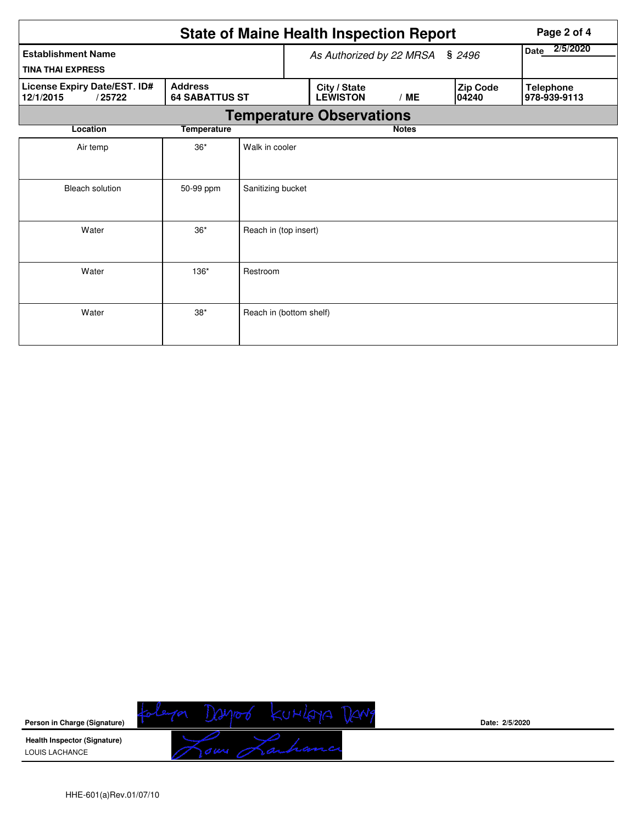| <b>State of Maine Health Inspection Report</b><br>Page 2 of 4                                  |                                    |                |  |                                 |              |                  |                   |                                  |  |  |
|------------------------------------------------------------------------------------------------|------------------------------------|----------------|--|---------------------------------|--------------|------------------|-------------------|----------------------------------|--|--|
| <b>Establishment Name</b>                                                                      | \$2496<br>As Authorized by 22 MRSA |                |  |                                 |              | 2/5/2020<br>Date |                   |                                  |  |  |
| <b>TINA THAI EXPRESS</b>                                                                       |                                    |                |  |                                 |              |                  |                   |                                  |  |  |
| License Expiry Date/EST. ID#<br><b>Address</b><br>/25722<br><b>64 SABATTUS ST</b><br>12/1/2015 |                                    |                |  | City / State<br><b>LEWISTON</b> | /ME          |                  | Zip Code<br>04240 | <b>Telephone</b><br>978-939-9113 |  |  |
| <b>Temperature Observations</b>                                                                |                                    |                |  |                                 |              |                  |                   |                                  |  |  |
| Location                                                                                       | <b>Temperature</b>                 |                |  |                                 | <b>Notes</b> |                  |                   |                                  |  |  |
| Air temp                                                                                       | $36*$                              | Walk in cooler |  |                                 |              |                  |                   |                                  |  |  |
| <b>Bleach solution</b>                                                                         | Sanitizing bucket                  |                |  |                                 |              |                  |                   |                                  |  |  |
| Water                                                                                          | Reach in (top insert)              |                |  |                                 |              |                  |                   |                                  |  |  |
| Water                                                                                          |                                    |                |  |                                 |              |                  |                   |                                  |  |  |
| Water                                                                                          | Reach in (bottom shelf)            |                |  |                                 |              |                  |                   |                                  |  |  |



**Date: 2/5/2020**

HHE-601(a)Rev.01/07/10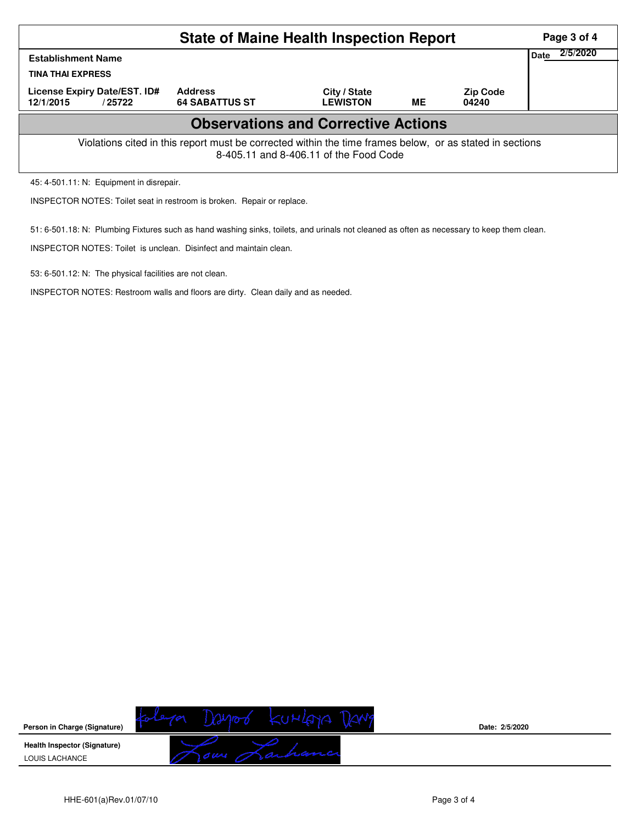| <b>State of Maine Health Inspection Report</b>                                                                                                     |                                         |                                 |    |                          |  |  |  |  |  |
|----------------------------------------------------------------------------------------------------------------------------------------------------|-----------------------------------------|---------------------------------|----|--------------------------|--|--|--|--|--|
| <b>Establishment Name</b><br><b>TINA THAI EXPRESS</b>                                                                                              | 2/5/2020<br>Date                        |                                 |    |                          |  |  |  |  |  |
| License Expiry Date/EST. ID#<br>12/1/2015<br>/ 25722                                                                                               | <b>Address</b><br><b>64 SABATTUS ST</b> | City / State<br><b>LEWISTON</b> | ME | <b>Zip Code</b><br>04240 |  |  |  |  |  |
| <b>Observations and Corrective Actions</b>                                                                                                         |                                         |                                 |    |                          |  |  |  |  |  |
| Violations cited in this report must be corrected within the time frames below, or as stated in sections<br>8-405.11 and 8-406.11 of the Food Code |                                         |                                 |    |                          |  |  |  |  |  |

45: 4-501.11: N: Equipment in disrepair.

INSPECTOR NOTES: Toilet seat in restroom is broken. Repair or replace.

51: 6-501.18: N: Plumbing Fixtures such as hand washing sinks, toilets, and urinals not cleaned as often as necessary to keep them clean.

INSPECTOR NOTES: Toilet is unclean. Disinfect and maintain clean.

53: 6-501.12: N: The physical facilities are not clean.

INSPECTOR NOTES: Restroom walls and floors are dirty. Clean daily and as needed.